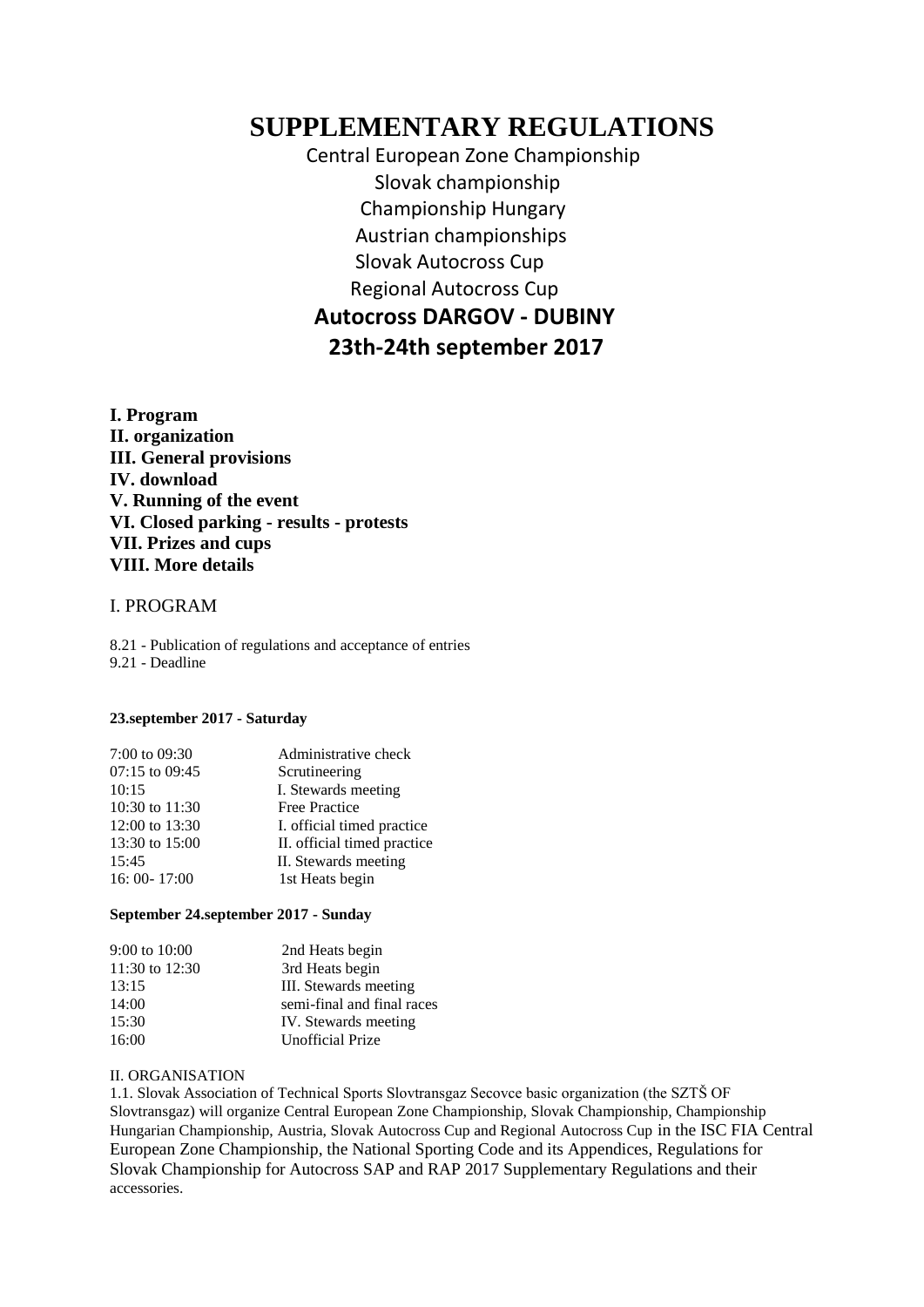# **SUPPLEMENTARY REGULATIONS**

 Central European Zone Championship Slovak championship Championship Hungary Austrian championships Slovak Autocross Cup Regional Autocross Cup **Autocross DARGOV - DUBINY 23th-24th september 2017**

**I. Program II. organization III. General provisions IV. download V. Running of the event VI. Closed parking - results - protests VII. Prizes and cups VIII. More details**

#### I. PROGRAM

8.21 - Publication of regulations and acceptance of entries 9.21 - Deadline

#### **23.september 2017 - Saturday**

| 7:00 to 09:30  | Administrative check        |
|----------------|-----------------------------|
| 07:15 to 09:45 | Scrutineering               |
| 10:15          | I. Stewards meeting         |
| 10:30 to 11:30 | <b>Free Practice</b>        |
| 12:00 to 13:30 | I. official timed practice. |
| 13:30 to 15:00 | II. official timed practice |
| 15:45          | II. Stewards meeting        |
| 16:00-17:00    | 1st Heats begin             |
|                |                             |

#### **September 24.september 2017 - Sunday**

| III. Stewards meeting      |
|----------------------------|
| semi-final and final races |
| IV. Stewards meeting       |
|                            |
|                            |

#### II. ORGANISATION

1.1. Slovak Association of Technical Sports Slovtransgaz Secovce basic organization (the SZTŠ OF Slovtransgaz) will organize Central European Zone Championship, Slovak Championship, Championship Hungarian Championship, Austria, Slovak Autocross Cup and Regional Autocross Cup in the ISC FIA Central European Zone Championship, the National Sporting Code and its Appendices, Regulations for Slovak Championship for Autocross SAP and RAP 2017 Supplementary Regulations and their accessories.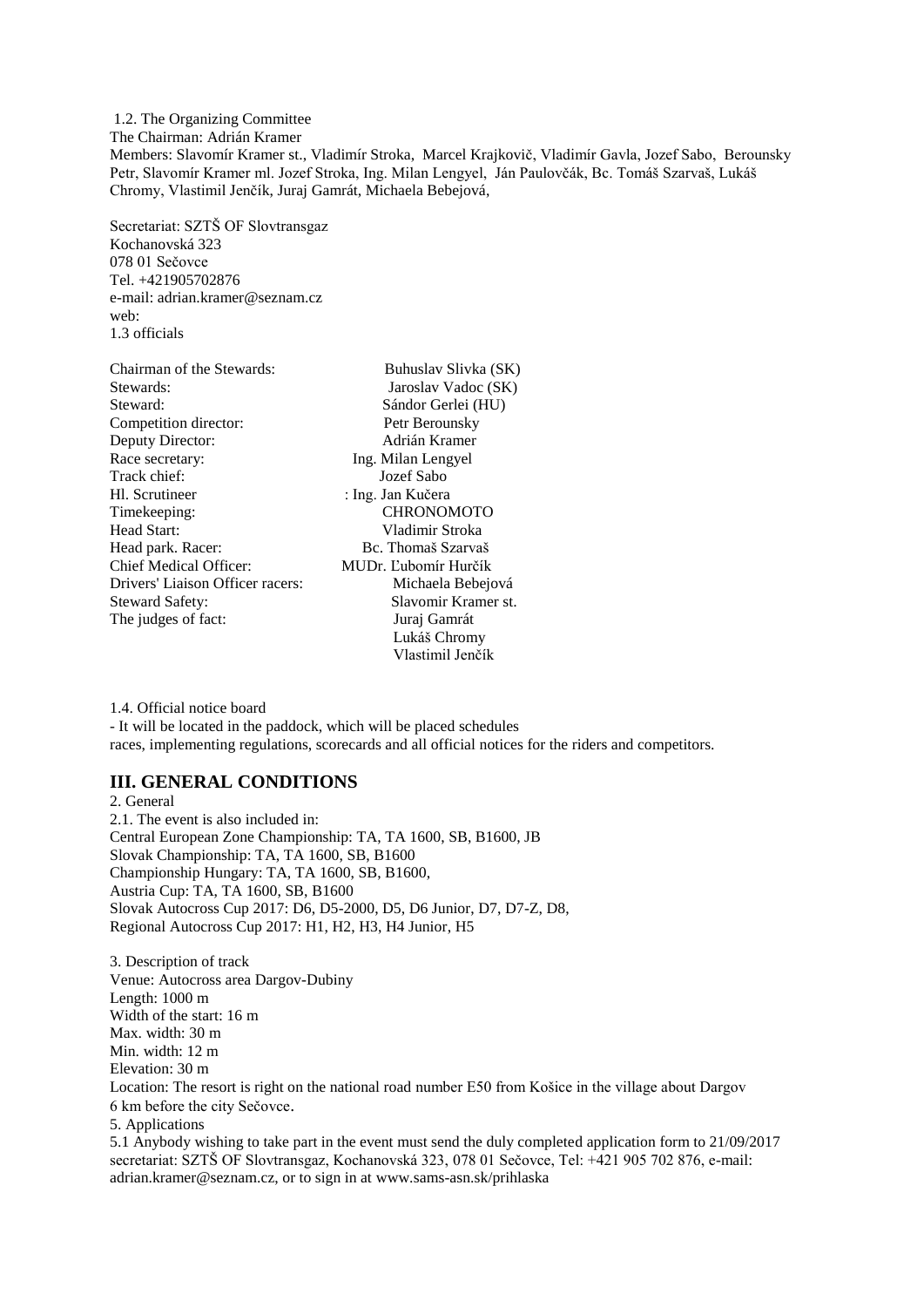1.2. The Organizing Committee The Chairman: Adrián Kramer Members: Slavomír Kramer st., Vladimír Stroka, Marcel Krajkovič, Vladimír Gavla, Jozef Sabo, Berounsky Petr, Slavomír Kramer ml. Jozef Stroka, Ing. Milan Lengyel, Ján Paulovčák, Bc. Tomáš Szarvaš, Lukáš Chromy, Vlastimil Jenčík, Juraj Gamrát, Michaela Bebejová,

Secretariat: SZTŠ OF Slovtransgaz Kochanovská 323 078 01 Sečovce Tel. +421905702876 e-mail: adrian.kramer@seznam.cz web: 1.3 officials

| Chairman of the Stewards:        | Buhuslav Slivka (SK) |
|----------------------------------|----------------------|
| Stewards:                        | Jaroslav Vadoc (SK)  |
| Steward:                         | Sándor Gerlei (HU)   |
| Competition director:            | Petr Berounsky       |
| Deputy Director:                 | Adrián Kramer        |
| Race secretary:                  | Ing. Milan Lengyel   |
| Track chief:                     | Jozef Sabo           |
| Hl. Scrutineer                   | : Ing. Jan Kučera    |
| Timekeeping:                     | <b>CHRONOMOTO</b>    |
| Head Start:                      | Vladimir Stroka      |
| Head park. Racer:                | Bc. Thomaš Szarvaš   |
| Chief Medical Officer:           | MUDr. Ľubomír Hurčík |
| Drivers' Liaison Officer racers: | Michaela Bebejová    |
| <b>Steward Safety:</b>           | Slavomir Kramer st.  |
| The judges of fact:              | Juraj Gamrát         |
|                                  | Lukáš Chromy         |
|                                  | Vlastimil Jenčík     |

1.4. Official notice board

- It will be located in the paddock, which will be placed schedules races, implementing regulations, scorecards and all official notices for the riders and competitors.

#### **III. GENERAL CONDITIONS**

2. General 2.1. The event is also included in: Central European Zone Championship: TA, TA 1600, SB, B1600, JB Slovak Championship: TA, TA 1600, SB, B1600 Championship Hungary: TA, TA 1600, SB, B1600, Austria Cup: TA, TA 1600, SB, B1600 Slovak Autocross Cup 2017: D6, D5-2000, D5, D6 Junior, D7, D7-Z, D8, Regional Autocross Cup 2017: H1, H2, H3, H4 Junior, H5

3. Description of track Venue: Autocross area Dargov-Dubiny Length: 1000 m Width of the start: 16 m Max. width: 30 m Min. width: 12 m Elevation: 30 m Location: The resort is right on the national road number E50 from Košice in the village about Dargov 6 km before the city Sečovce. 5. Applications

5.1 Anybody wishing to take part in the event must send the duly completed application form to 21/09/2017 secretariat: SZTŠ OF Slovtransgaz, Kochanovská 323, 078 01 Sečovce, Tel: +421 905 702 876, e-mail: adrian.kramer@seznam.cz, or to sign in at www.sams-asn.sk/prihlaska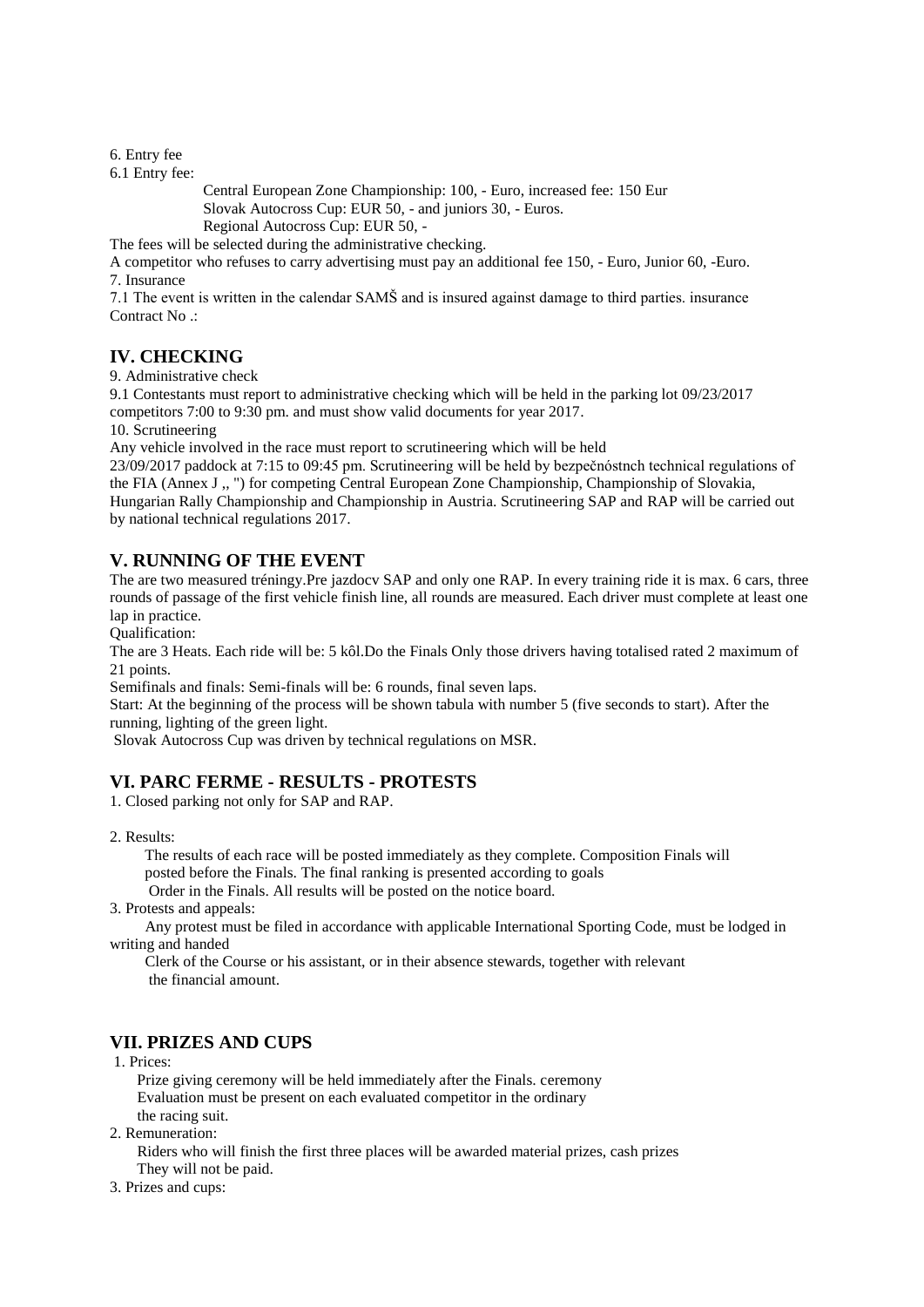6. Entry fee

6.1 Entry fee:

 Central European Zone Championship: 100, - Euro, increased fee: 150 Eur Slovak Autocross Cup: EUR 50, - and juniors 30, - Euros. Regional Autocross Cup: EUR 50, -

The fees will be selected during the administrative checking.

A competitor who refuses to carry advertising must pay an additional fee 150, - Euro, Junior 60, -Euro. 7. Insurance

7.1 The event is written in the calendar SAMŠ and is insured against damage to third parties. insurance Contract No .:

### **IV. CHECKING**

9. Administrative check

9.1 Contestants must report to administrative checking which will be held in the parking lot 09/23/2017 competitors 7:00 to 9:30 pm. and must show valid documents for year 2017.

10. Scrutineering

Any vehicle involved in the race must report to scrutineering which will be held

23/09/2017 paddock at 7:15 to 09:45 pm. Scrutineering will be held by bezpečnóstnch technical regulations of the FIA (Annex J ,, ") for competing Central European Zone Championship, Championship of Slovakia, Hungarian Rally Championship and Championship in Austria. Scrutineering SAP and RAP will be carried out by national technical regulations 2017.

# **V. RUNNING OF THE EVENT**

The are two measured tréningy.Pre jazdocv SAP and only one RAP. In every training ride it is max. 6 cars, three rounds of passage of the first vehicle finish line, all rounds are measured. Each driver must complete at least one lap in practice.

Qualification:

The are 3 Heats. Each ride will be: 5 kôl.Do the Finals Only those drivers having totalised rated 2 maximum of 21 points.

Semifinals and finals: Semi-finals will be: 6 rounds, final seven laps.

Start: At the beginning of the process will be shown tabula with number 5 (five seconds to start). After the running, lighting of the green light.

Slovak Autocross Cup was driven by technical regulations on MSR.

# **VI. PARC FERME - RESULTS - PROTESTS**

1. Closed parking not only for SAP and RAP.

2. Results:

 The results of each race will be posted immediately as they complete. Composition Finals will posted before the Finals. The final ranking is presented according to goals

Order in the Finals. All results will be posted on the notice board.

3. Protests and appeals:

 Any protest must be filed in accordance with applicable International Sporting Code, must be lodged in writing and handed

 Clerk of the Course or his assistant, or in their absence stewards, together with relevant the financial amount.

# **VII. PRIZES AND CUPS**

1. Prices:

 Prize giving ceremony will be held immediately after the Finals. ceremony Evaluation must be present on each evaluated competitor in the ordinary the racing suit.

2. Remuneration:

 Riders who will finish the first three places will be awarded material prizes, cash prizes They will not be paid.

3. Prizes and cups: